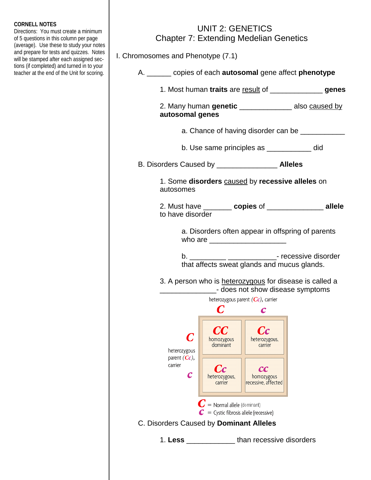## **CORNELL NOTES**

Directions: You must create a minimum of 5 questions in this column per page (average). Use these to study your notes and prepare for tests and quizzes. Notes will be stamped after each assigned sections (if completed) and turned in to your teacher at the end of the Unit for scoring.

## UNIT 2: GENETICS Chapter 7: Extending Medelian Genetics

I. Chromosomes and Phenotype (7.1)

| A. _______ copies of each <b>autosomal</b> gene affect <b>phenotype</b> |                                                                            |                                                  |                                                          |  |
|-------------------------------------------------------------------------|----------------------------------------------------------------------------|--------------------------------------------------|----------------------------------------------------------|--|
| 1. Most human traits are result of __________________genes              |                                                                            |                                                  |                                                          |  |
| autosomal genes                                                         |                                                                            |                                                  | 2. Many human genetic ___________________ also caused by |  |
|                                                                         |                                                                            |                                                  | a. Chance of having disorder can be ____________         |  |
|                                                                         |                                                                            | b. Use same principles as _____________ did      |                                                          |  |
|                                                                         |                                                                            |                                                  |                                                          |  |
| autosomes                                                               |                                                                            | 1. Some disorders caused by recessive alleles on |                                                          |  |
| to have disorder                                                        |                                                                            |                                                  | 2. Must have ________ copies of ______________ allele    |  |
|                                                                         |                                                                            | who are <u>____________________</u>              | a. Disorders often appear in offspring of parents        |  |
|                                                                         |                                                                            |                                                  |                                                          |  |
|                                                                         |                                                                            | that affects sweat glands and mucus glands.      |                                                          |  |
|                                                                         |                                                                            | - does not show disease symptoms                 | 3. A person who is heterozygous for disease is called a  |  |
|                                                                         |                                                                            | heterozygous parent $(Cc)$ , carrier             |                                                          |  |
|                                                                         | C                                                                          | C                                                |                                                          |  |
| heterozygous                                                            | nomozygous<br>dominant                                                     | neterozygous,<br>carrier                         |                                                          |  |
| parent $(Cc)$ ,<br>carrier<br>$\overline{c}$                            | Cс<br>heterozygous,<br>carrier                                             | cc<br>homozygous<br>recessive, affected          |                                                          |  |
|                                                                         | $C$ = Normal allele (dominant)<br>$C =$ Cystic fibrosis allele (recessive) |                                                  |                                                          |  |
| C. Disorders Caused by Dominant Alleles                                 |                                                                            |                                                  |                                                          |  |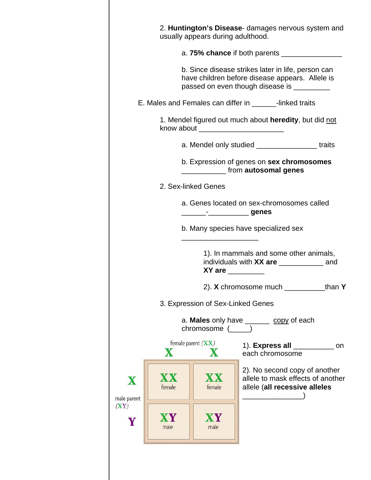|                                                                                       |                           | usually appears during adulthood. | 2. Huntington's Disease- damages nervous system and                                                                                                  |        |
|---------------------------------------------------------------------------------------|---------------------------|-----------------------------------|------------------------------------------------------------------------------------------------------------------------------------------------------|--------|
|                                                                                       |                           |                                   |                                                                                                                                                      |        |
|                                                                                       |                           |                                   | b. Since disease strikes later in life, person can<br>have children before disease appears. Allele is<br>passed on even though disease is __________ |        |
|                                                                                       |                           |                                   | E. Males and Females can differ in ________-linked traits                                                                                            |        |
|                                                                                       |                           |                                   | 1. Mendel figured out much about heredity, but did not                                                                                               |        |
|                                                                                       |                           |                                   | a. Mendel only studied __________________traits                                                                                                      |        |
|                                                                                       |                           |                                   | b. Expression of genes on sex chromosomes<br>from autosomal genes                                                                                    |        |
| 2. Sex-linked Genes                                                                   |                           |                                   |                                                                                                                                                      |        |
| a. Genes located on sex-chromosomes called<br>_______ <sup>_</sup> ____________ genes |                           |                                   |                                                                                                                                                      |        |
|                                                                                       |                           |                                   | b. Many species have specialized sex                                                                                                                 |        |
|                                                                                       |                           | $XY$ are $\qquad \qquad$          | 1). In mammals and some other animals,                                                                                                               |        |
|                                                                                       |                           |                                   | 2). X chromosome much                                                                                                                                | than Y |
|                                                                                       |                           | 3. Expression of Sex-Linked Genes |                                                                                                                                                      |        |
|                                                                                       |                           | chromosome (____)                 | a. Males only have _______ copy of each                                                                                                              |        |
|                                                                                       | female parent $(XX)$<br>X |                                   | 1). Express all ________<br>each chromosome                                                                                                          | on     |
| $\mathbf X$<br>male parent                                                            | female                    | <b>XX</b><br>female               | 2). No second copy of another<br>allele to mask effects of another<br>allele (all recessive alleles                                                  |        |
| (XY)<br>Y                                                                             | XY<br>male                | XY<br>male                        |                                                                                                                                                      |        |
|                                                                                       |                           |                                   |                                                                                                                                                      |        |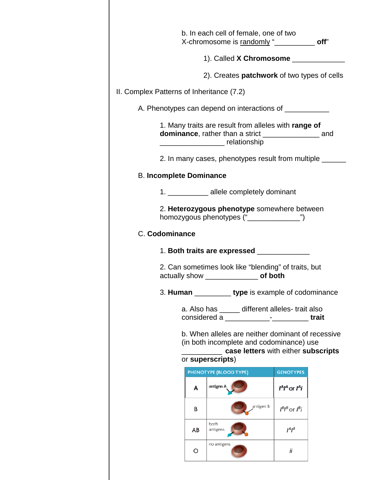|                                                         |                                            | b. In each cell of female, one of two<br>X-chromosome is randomly " <b>COVERTY</b> 2001                                                                                                                                                                                                                                                                 |                      |  |
|---------------------------------------------------------|--------------------------------------------|---------------------------------------------------------------------------------------------------------------------------------------------------------------------------------------------------------------------------------------------------------------------------------------------------------------------------------------------------------|----------------------|--|
|                                                         |                                            | 1). Called X Chromosome _________                                                                                                                                                                                                                                                                                                                       |                      |  |
|                                                         |                                            | 2). Creates <b>patchwork</b> of two types of cells                                                                                                                                                                                                                                                                                                      |                      |  |
| II. Complex Patterns of Inheritance (7.2)               |                                            |                                                                                                                                                                                                                                                                                                                                                         |                      |  |
|                                                         |                                            | A. Phenotypes can depend on interactions of _____________                                                                                                                                                                                                                                                                                               |                      |  |
|                                                         |                                            | 1. Many traits are result from alleles with range of<br>dominance, rather than a strict ___________________ and<br><u>Les and the substitutions of the substitutions of the substitutions of the substitutions of the substitutions of the substitutions of the substitutions of the substitutions of the substitutions of the substitutions of the</u> |                      |  |
| 2. In many cases, phenotypes result from multiple _____ |                                            |                                                                                                                                                                                                                                                                                                                                                         |                      |  |
| <b>B. Incomplete Dominance</b>                          |                                            |                                                                                                                                                                                                                                                                                                                                                         |                      |  |
|                                                         |                                            | 1. ____________ allele completely dominant                                                                                                                                                                                                                                                                                                              |                      |  |
| 2. Heterozygous phenotype somewhere between             |                                            |                                                                                                                                                                                                                                                                                                                                                         |                      |  |
| C. Codominance                                          |                                            |                                                                                                                                                                                                                                                                                                                                                         |                      |  |
|                                                         |                                            | 1. Both traits are expressed _____________                                                                                                                                                                                                                                                                                                              |                      |  |
|                                                         |                                            | 2. Can sometimes look like "blending" of traits, but<br>actually show ____________________ of both                                                                                                                                                                                                                                                      |                      |  |
|                                                         | type is example of codominance<br>3. Human |                                                                                                                                                                                                                                                                                                                                                         |                      |  |
|                                                         |                                            | a. Also has ______ different alleles-trait also<br>considered a ________________________________trait                                                                                                                                                                                                                                                   |                      |  |
|                                                         |                                            | b. When alleles are neither dominant of recessive<br>(in both incomplete and codominance) use<br>case letters with either subscripts<br>or superscripts)                                                                                                                                                                                                |                      |  |
|                                                         |                                            | PHENOTYPE (BLOOD TYPE)                                                                                                                                                                                                                                                                                                                                  | <b>GENOTYPES</b>     |  |
|                                                         | A                                          | antigen A                                                                                                                                                                                                                                                                                                                                               | $P^A$ or $P^i$       |  |
|                                                         | B                                          | antigen B                                                                                                                                                                                                                                                                                                                                               | $I^B I^B$ or $I^B I$ |  |
|                                                         | AB                                         | both<br>antigens                                                                                                                                                                                                                                                                                                                                        | $I^A I^B$            |  |
|                                                         | O                                          | no antigens                                                                                                                                                                                                                                                                                                                                             | Ϊİ                   |  |
|                                                         |                                            |                                                                                                                                                                                                                                                                                                                                                         |                      |  |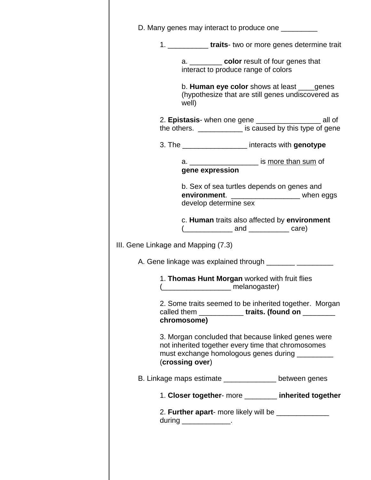|                                     |                                                                                       | 1. _____________ traits- two or more genes determine trait                                                                                                                                                               |
|-------------------------------------|---------------------------------------------------------------------------------------|--------------------------------------------------------------------------------------------------------------------------------------------------------------------------------------------------------------------------|
|                                     | a. ___________ color result of four genes that<br>interact to produce range of colors |                                                                                                                                                                                                                          |
| well)                               |                                                                                       | b. Human eye color shows at least ____genes<br>(hypothesize that are still genes undiscovered as                                                                                                                         |
|                                     |                                                                                       | the others. ____________ is caused by this type of gene                                                                                                                                                                  |
|                                     | 3. The ______________________ interacts with genotype                                 |                                                                                                                                                                                                                          |
|                                     | a. _____________________ is more than sum of<br>gene expression                       |                                                                                                                                                                                                                          |
|                                     | b. Sex of sea turtles depends on genes and<br>develop determine sex                   | environment. __________________ when eggs                                                                                                                                                                                |
|                                     |                                                                                       | c. Human traits also affected by environment                                                                                                                                                                             |
| III. Gene Linkage and Mapping (7.3) |                                                                                       |                                                                                                                                                                                                                          |
|                                     |                                                                                       |                                                                                                                                                                                                                          |
|                                     |                                                                                       |                                                                                                                                                                                                                          |
|                                     | 1. Thomas Hunt Morgan worked with fruit flies<br>____________ melanogaster)           |                                                                                                                                                                                                                          |
| chromosome)                         |                                                                                       |                                                                                                                                                                                                                          |
| (crossing over)                     |                                                                                       | 3. Morgan concluded that because linked genes were<br>not inherited together every time that chromosomes                                                                                                                 |
|                                     |                                                                                       | B. Linkage maps estimate ______________ between genes                                                                                                                                                                    |
|                                     |                                                                                       | 2. Some traits seemed to be inherited together. Morgan<br>called them _____________traits. (found on ________<br>must exchange homologous genes during __________<br>1. Closer together- more _______ inherited together |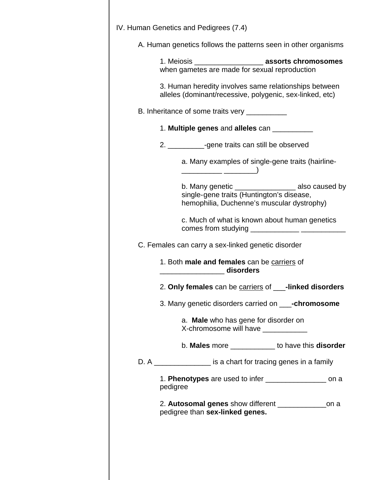| A. Human genetics follows the patterns seen in other organisms                                                                                  |
|-------------------------------------------------------------------------------------------------------------------------------------------------|
| 1. Meiosis _________________________ assorts chromosomes<br>when gametes are made for sexual reproduction                                       |
| 3. Human heredity involves same relationships between<br>alleles (dominant/recessive, polygenic, sex-linked, etc)                               |
| B. Inheritance of some traits very ___________                                                                                                  |
| 1. Multiple genes and alleles can __________                                                                                                    |
| 2. ____________-gene traits can still be observed                                                                                               |
| a. Many examples of single-gene traits (hairline-                                                                                               |
| b. Many genetic _____________________ also caused by<br>single-gene traits (Huntington's disease,<br>hemophilia, Duchenne's muscular dystrophy) |
| c. Much of what is known about human genetics                                                                                                   |
| C. Females can carry a sex-linked genetic disorder                                                                                              |
| 1. Both male and females can be carriers of<br>disorders disorders                                                                              |
| 2. Only females can be carriers of __-linked disorders                                                                                          |
| 3. Many genetic disorders carried on ____-chromosome                                                                                            |
| a. Male who has gene for disorder on<br>X-chromosome will have ___________                                                                      |
| b. Males more ____________ to have this disorder                                                                                                |
| D. A _________________ is a chart for tracing genes in a family                                                                                 |
| 1. Phenotypes are used to infer _________________ on a<br>pedigree                                                                              |
| 2. Autosomal genes show different __________________on a<br>pedigree than sex-linked genes.                                                     |
|                                                                                                                                                 |